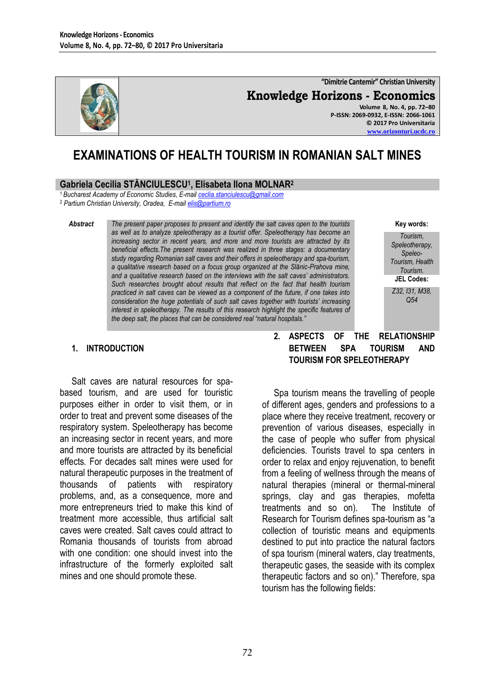

**"Dimitrie Cantemir" Christian University Knowledge Horizons - Economics Volume 8, No. 4, pp. 72–80 P-ISSN: 2069-0932, E-ISSN: 2066-1061 © 2017 Pro Universitaria [www.orizonturi.ucdc.ro](http://www.orizonturi.ucdc.ro/)**

# **EXAMINATIONS OF HEALTH TOURISM IN ROMANIAN SALT MINES**

# **Gabriela Cecilia STĂNCIULESCU<sup>1</sup> , Elisabeta Ilona MOLNAR<sup>2</sup>**

<sup>1</sup>*Bucharest Academy of Economic Studies, E-mai[l ceclia.stanciulescu@gmail.com](mailto:ceclia.stanciulescu@gmail.com)* <sup>2</sup> *Partium Christian University, Oradea, E-mai[l elis@partium.ro](mailto:elis@partium.ro)*

*Abstract The present paper proposes to present and identify the salt caves open to the tourists as well as to analyze speleotherapy as a tourist offer. Speleotherapy has become an increasing sector in recent years, and more and more tourists are attracted by its beneficial effects.The present research was realized in three stages: a documentary study regarding Romanian salt caves and their offers in speleotherapy and spa-tourism, a qualitative research based on a focus group organized at the Slănic-Prahova mine, and a qualitative research based on the interviews with the salt caves' administrators. Such researches brought about results that reflect on the fact that health tourism practiced in salt caves can be viewed as a component of the future, if one takes into consideration the huge potentials of such salt caves together with tourists' increasing interest in speleotherapy. The results of this research highlight the specific features of the deep salt, the places that can be considered real "natural hospitals."* 

**Key words:** *Tourism, Speleotherapy, Speleo-Tourism, Health Tourism*. **JEL Codes:**

*Z32, I31, M38, Q54*

#### **1. INTRODUCTION**

Salt caves are natural resources for spabased tourism, and are used for touristic purposes either in order to visit them, or in order to treat and prevent some diseases of the respiratory system. Speleotherapy has become an increasing sector in recent years, and more and more tourists are attracted by its beneficial effects. For decades salt mines were used for natural therapeutic purposes in the treatment of thousands of patients with respiratory problems, and, as a consequence, more and more entrepreneurs tried to make this kind of treatment more accessible, thus artificial salt caves were created. Salt caves could attract to Romania thousands of tourists from abroad with one condition: one should invest into the infrastructure of the formerly exploited salt mines and one should promote these.

#### **2. ASPECTS OF THE RELATIONSHIP BETWEEN SPA TOURISM AND TOURISM FOR SPELEOTHERAPY**

Spa tourism means the travelling of people of different ages, genders and professions to a place where they receive treatment, recovery or prevention of various diseases, especially in the case of people who suffer from physical deficiencies. Tourists travel to spa centers in order to relax and enjoy rejuvenation, to benefit from a feeling of wellness through the means of natural therapies (mineral or thermal-mineral springs, clay and gas therapies, mofetta treatments and so on). The Institute of Research for Tourism defines spa-tourism as "a collection of touristic means and equipments destined to put into practice the natural factors of spa tourism (mineral waters, clay treatments, therapeutic gases, the seaside with its complex therapeutic factors and so on)." Therefore, spa tourism has the following fields: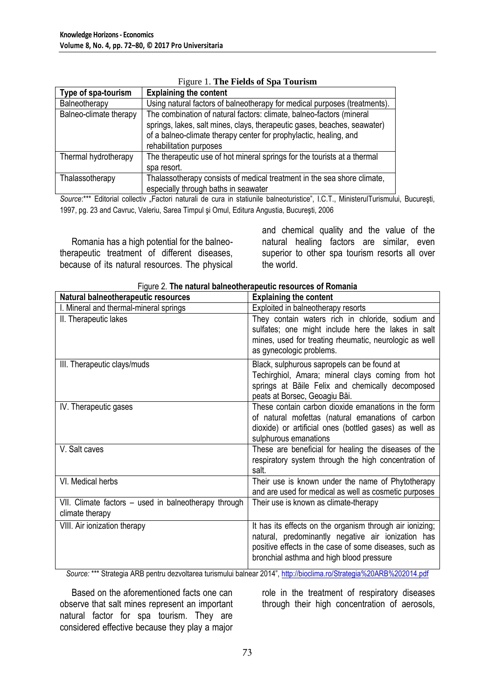| $1.15$ and $1.101$ and $1.000$ and $1.000$ and $1.000$ |                                                                                                                                                                          |  |
|--------------------------------------------------------|--------------------------------------------------------------------------------------------------------------------------------------------------------------------------|--|
| Type of spa-tourism                                    | <b>Explaining the content</b>                                                                                                                                            |  |
| Balneotherapy                                          | Using natural factors of balneotherapy for medical purposes (treatments).                                                                                                |  |
| Balneo-climate therapy                                 | The combination of natural factors: climate, balneo-factors (mineral                                                                                                     |  |
|                                                        | springs, lakes, salt mines, clays, therapeutic gases, beaches, seawater)<br>of a balneo-climate therapy center for prophylactic, healing, and<br>rehabilitation purposes |  |
| Thermal hydrotherapy                                   | The therapeutic use of hot mineral springs for the tourists at a thermal                                                                                                 |  |
|                                                        | spa resort.                                                                                                                                                              |  |
| Thalassotherapy                                        | Thalassotherapy consists of medical treatment in the sea shore climate,<br>especially through baths in seawater                                                          |  |

#### Figure 1. **The Fields of Spa Tourism**

Source:\*\*\* Editorial collectiv "Factori naturali de cura in statiunile balneoturistice", I.C.T., MinisterulTurismului, București, 1997, pg. 23 and Cavruc, Valeriu, Sarea Timpul şi Omul, Editura Angustia, Bucureşti, 2006

Romania has a high potential for the balneotherapeutic treatment of different diseases, because of its natural resources. The physical and chemical quality and the value of the natural healing factors are similar, even superior to other spa tourism resorts all over the world.

| Natural balneotherapeutic resources                                     | <b>Explaining the content</b>                                                                                                                                                                                        |
|-------------------------------------------------------------------------|----------------------------------------------------------------------------------------------------------------------------------------------------------------------------------------------------------------------|
| I. Mineral and thermal-mineral springs                                  | Exploited in balneotherapy resorts                                                                                                                                                                                   |
| II. Therapeutic lakes                                                   | They contain waters rich in chloride, sodium and<br>sulfates; one might include here the lakes in salt<br>mines, used for treating rheumatic, neurologic as well<br>as gynecologic problems.                         |
| III. Therapeutic clays/muds                                             | Black, sulphurous sapropels can be found at<br>Techirghiol, Amara; mineral clays coming from hot<br>springs at Băile Felix and chemically decomposed<br>peats at Borsec, Geoagiu Băi.                                |
| IV. Therapeutic gases                                                   | These contain carbon dioxide emanations in the form<br>of natural mofettas (natural emanations of carbon<br>dioxide) or artificial ones (bottled gases) as well as<br>sulphurous emanations                          |
| V. Salt caves                                                           | These are beneficial for healing the diseases of the<br>respiratory system through the high concentration of<br>salt.                                                                                                |
| VI. Medical herbs                                                       | Their use is known under the name of Phytotherapy<br>and are used for medical as well as cosmetic purposes                                                                                                           |
| VII. Climate factors - used in balneotherapy through<br>climate therapy | Their use is known as climate-therapy                                                                                                                                                                                |
| VIII. Air ionization therapy                                            | It has its effects on the organism through air ionizing;<br>natural, predominantly negative air ionization has<br>positive effects in the case of some diseases, such as<br>bronchial asthma and high blood pressure |

| Figure 2. The natural balneotherapeutic resources of Romania |  |
|--------------------------------------------------------------|--|
|                                                              |  |

*Source:* \*\*\* Strategia ARB pentru dezvoltarea turismului balnear 2014", <http://bioclima.ro/Strategia%20ARB%202014.pdf>

Based on the aforementioned facts one can observe that salt mines represent an important natural factor for spa tourism. They are considered effective because they play a major

role in the treatment of respiratory diseases through their high concentration of aerosols,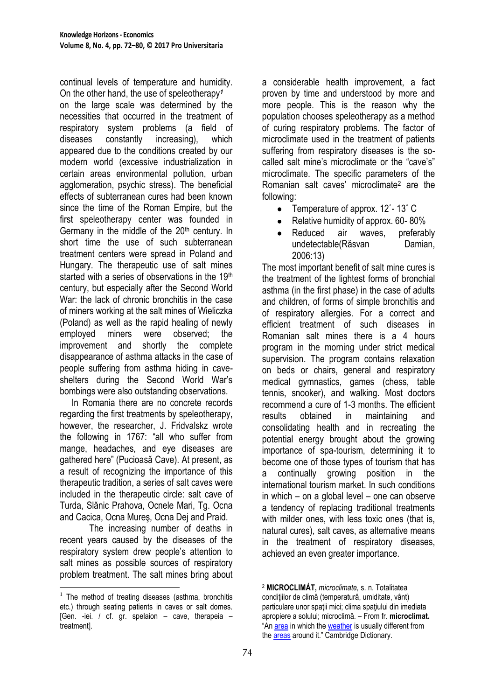continual levels of temperature and humidity. On the other hand, the use of speleotherapy*<sup>1</sup>* on the large scale was determined by the necessities that occurred in the treatment of respiratory system problems (a field of diseases constantly increasing), which appeared due to the conditions created by our modern world (excessive industrialization in certain areas environmental pollution, urban agglomeration, psychic stress). The beneficial effects of subterranean cures had been known since the time of the Roman Empire, but the first speleotherapy center was founded in Germany in the middle of the 20th century. In short time the use of such subterranean treatment centers were spread in Poland and Hungary. The therapeutic use of salt mines started with a series of observations in the 19<sup>th</sup> century, but especially after the Second World War: the lack of chronic bronchitis in the case of miners working at the salt mines of Wieliczka (Poland) as well as the rapid healing of newly employed miners were observed; the improvement and shortly the complete disappearance of asthma attacks in the case of people suffering from asthma hiding in caveshelters during the Second World War's bombings were also outstanding observations.

In Romania there are no concrete records regarding the first treatments by speleotherapy, however, the researcher, J. Fridvalskz wrote the following in 1767: "all who suffer from mange, headaches, and eye diseases are gathered here" (Pucioasă Cave). At present, as a result of recognizing the importance of this therapeutic tradition, a series of salt caves were included in the therapeutic circle: salt cave of Turda, Slănic Prahova, Ocnele Mari, Tg. Ocna and Cacica, Ocna Mureş, Ocna Dej and Praid.

The increasing number of deaths in recent years caused by the diseases of the respiratory system drew people's attention to salt mines as possible sources of respiratory problem treatment. The salt mines bring about

<u>.</u>

a considerable health improvement, a fact proven by time and understood by more and more people. This is the reason why the population chooses speleotherapy as a method of curing respiratory problems. The factor of microclimate used in the treatment of patients suffering from respiratory diseases is the socalled salt mine's microclimate or the "cave's" microclimate. The specific parameters of the Romanian salt caves' microclimate<sup>2</sup> are the following:

- Temperature of approx. 12˚- 13˚ C  $\bullet$
- Relative humidity of approx. 60- 80%
- Reduced air waves, preferably undetectable(Răsvan Damian, 2006:13)

The most important benefit of salt mine cures is the treatment of the lightest forms of bronchial asthma (in the first phase) in the case of adults and children, of forms of simple bronchitis and of respiratory allergies. For a correct and efficient treatment of such diseases in Romanian salt mines there is a 4 hours program in the morning under strict medical supervision. The program contains relaxation on beds or chairs, general and respiratory medical gymnastics, games (chess, table tennis, snooker), and walking. Most doctors recommend a cure of 1-3 months. The efficient results obtained in maintaining and consolidating health and in recreating the potential energy brought about the growing importance of spa-tourism, determining it to become one of those types of tourism that has a continually growing position in the international tourism market. In such conditions in which – on a global level – one can observe a tendency of replacing traditional treatments with milder ones, with less toxic ones (that is, natural cures), salt caves, as alternative means in the treatment of respiratory diseases, achieved an even greater importance.

<sup>&</sup>lt;sup>1</sup> The method of treating diseases (asthma, bronchitis etc.) through seating patients in caves or salt domes.  $[Gen. -iei. / cf. ar. spelaion - cave. the rangei  $a$$ treatment].

<sup>&</sup>lt;u>.</u> <sup>2</sup> **MICROCLIMÁT,** *microclimate,* s. n. Totalitatea conditiilor de climă (temperatură, umiditate, vânt) particulare unor spatii mici; clima spatiului din imediata apropiere a solului; microclimă. – From fr. **microclimat.**  "A[n area](http://dictionary.cambridge.org/dictionary/english/area) in which th[e weather](http://dictionary.cambridge.org/dictionary/english/weather) is usually different from the [areas](http://dictionary.cambridge.org/dictionary/english/area) around it." Cambridge Dictionary.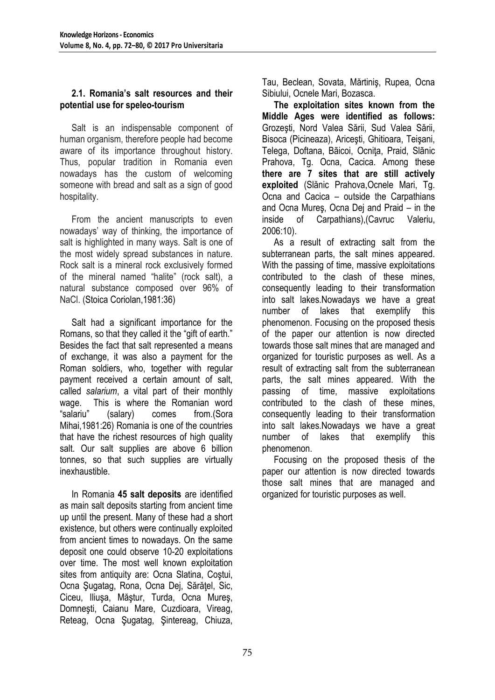# **2.1. Romania's salt resources and their potential use for speleo-tourism**

Salt is an indispensable component of human organism, therefore people had become aware of its importance throughout history. Thus, popular tradition in Romania even nowadays has the custom of welcoming someone with bread and salt as a sign of good hospitality.

From the ancient manuscripts to even nowadays' way of thinking, the importance of salt is highlighted in many ways. Salt is one of the most widely spread substances in nature. Rock salt is a mineral rock exclusively formed of the mineral named "halite" (rock salt), a natural substance composed over 96% of NaCl. (Stoica Coriolan,1981:36)

Salt had a significant importance for the Romans, so that they called it the "gift of earth." Besides the fact that salt represented a means of exchange, it was also a payment for the Roman soldiers, who, together with regular payment received a certain amount of salt, called *salarium*, a vital part of their monthly wage. This is where the Romanian word "salariu" (salary) comes from.(Sora Mihai,1981:26) Romania is one of the countries that have the richest resources of high quality salt. Our salt supplies are above 6 billion tonnes, so that such supplies are virtually inexhaustible.

In Romania **45 salt deposits** are identified as main salt deposits starting from ancient time up until the present. Many of these had a short existence, but others were continually exploited from ancient times to nowadays. On the same deposit one could observe 10-20 exploitations over time. The most well known exploitation sites from antiquity are: Ocna Slatina, Coştui, Ocna Şugatag, Rona, Ocna Dej, Sărăţel, Sic, Ciceu, Iliuşa, Măştur, Turda, Ocna Mureş, Domneşti, Caianu Mare, Cuzdioara, Vireag, Reteag, Ocna Şugatag, Şintereag, Chiuza,

Tau, Beclean, Sovata, Mărtiniş, Rupea, Ocna Sibiului, Ocnele Mari, Bozasca.

**The exploitation sites known from the Middle Ages were identified as follows:** Grozeşti, Nord Valea Sării, Sud Valea Sării, Bisoca (Picineaza), Ariceşti, Ghitioara, Teişani, Telega, Doftana, Bãicoi, Ocnita, Praid, Slãnic Prahova, Tg. Ocna, Cacica. Among these **there are 7 sites that are still actively exploited** (Slănic Prahova,Ocnele Mari, Tg. Ocna and Cacica – outside the Carpathians and Ocna Mureş, Ocna Dej and Praid – in the inside of Carpathians),(Cavruc Valeriu, 2006:10).

As a result of extracting salt from the subterranean parts, the salt mines appeared. With the passing of time, massive exploitations contributed to the clash of these mines, consequently leading to their transformation into salt lakes.Nowadays we have a great number of lakes that exemplify this phenomenon. Focusing on the proposed thesis of the paper our attention is now directed towards those salt mines that are managed and organized for touristic purposes as well. As a result of extracting salt from the subterranean parts, the salt mines appeared. With the passing of time, massive exploitations contributed to the clash of these mines, consequently leading to their transformation into salt lakes.Nowadays we have a great number of lakes that exemplify this phenomenon.

Focusing on the proposed thesis of the paper our attention is now directed towards those salt mines that are managed and organized for touristic purposes as well.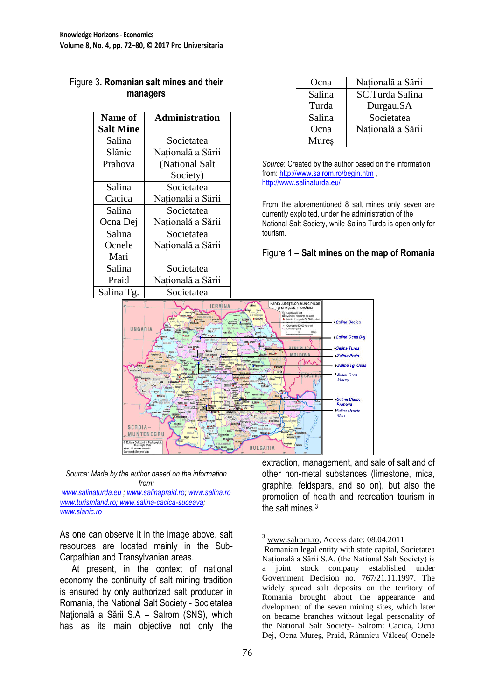| Figure 3. Romanian salt mines and their |
|-----------------------------------------|
| managers                                |

| Name of          | <b>Administration</b> |
|------------------|-----------------------|
| <b>Salt Mine</b> |                       |
| Salina           | Societatea            |
| Slănic           | Națională a Sării     |
| Prahova          | (National Salt        |
|                  | Society)              |
| Salina           | Societatea            |
| Cacica           | Națională a Sării     |
| Salina           | Societatea            |
| Ocna Dej         | Națională a Sării     |
| Salina           | Societatea            |
| Ocnele           | Națională a Sării     |
| Mari             |                       |
| Salina           | Societatea            |
| Praid            | Națională a Sării     |
| Salina Tg.       | Societatea            |

| Ocna   | Națională a Sării |
|--------|-------------------|
| Salina | SC.Turda Salina   |
| Turda  | Durgau.SA         |
| Salina | Societatea        |
| Ocna   | Națională a Sării |
| Mures  |                   |

*Source*: Created by the author based on the information from[: http://www.salrom.ro/begin.htm](http://www.salrom.ro/begin.htm), <http://www.salinaturda.eu/>

From the aforementioned 8 salt mines only seven are currently exploited, under the administration of the National Salt Society, while Salina Turda is open only for tourism.

#### Figure 1 **– Salt mines on the map of Romania**



*Source: Made by the author based on the information from: [www.salinaturda.eu](http://www.salinaturda.eu/) ; www.salinapraid.ro; www.salina.ro*

*www.turismland.ro; www.salina-cacica-suceava; [www.slanic.ro](http://www.slanic.ro/)*

As one can observe it in the image above, salt resources are located mainly in the Sub-Carpathian and Transylvanian areas.

At present, in the context of national economy the continuity of salt mining tradition is ensured by only authorized salt producer in Romania, the National Salt Society - Societatea Naţională a Sării S.A – Salrom (SNS), which has as its main objective not only the

extraction, management, and sale of salt and of other non-metal substances (limestone, mica, graphite, feldspars, and so on), but also the promotion of health and recreation tourism in the salt mines.<sup>3</sup>

<u>.</u>

[www.salrom.ro,](http://www.salrom.ro/) Access date: 08.04.2011

Romanian legal entity with state capital, Societatea Naţională a Sării S.A. (the National Salt Society) is a joint stock company established under Government Decision no. 767/21.11.1997. The widely spread salt deposits on the territory of Romania brought about the appearance and dvelopment of the seven mining sites, which later on became branches without legal personality of the National Salt Society- Salrom: Cacica, Ocna Dej, Ocna Mureş, Praid, Râmnicu Vâlcea( Ocnele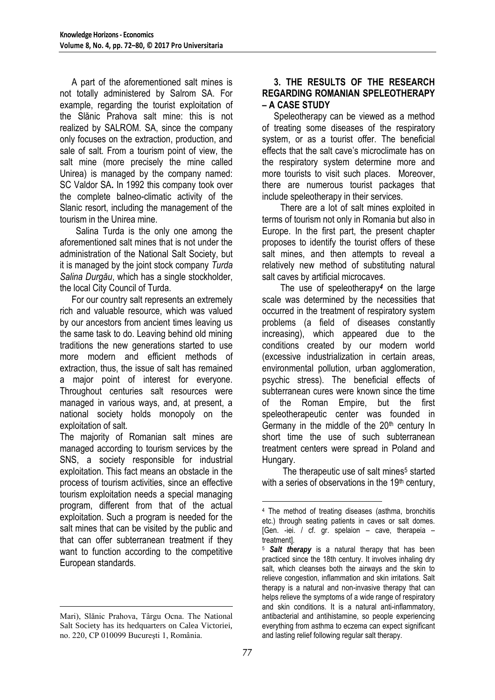A part of the aforementioned salt mines is not totally administered by Salrom SA. For example, regarding the tourist exploitation of the Slănic Prahova salt mine: this is not realized by SALROM. SA, since the company only focuses on the extraction, production, and sale of salt. From a tourism point of view, the salt mine (more precisely the mine called Unirea) is managed by the company named: SC Valdor SA**.** In 1992 this company took over the complete balneo-climatic activity of the Slanic resort, including the management of the tourism in the Unirea mine.

 Salina Turda is the only one among the aforementioned salt mines that is not under the administration of the National Salt Society, but it is managed by the joint stock company *Turda Salina Durgău*, which has a single stockholder, the local City Council of Turda.

For our country salt represents an extremely rich and valuable resource, which was valued by our ancestors from ancient times leaving us the same task to do. Leaving behind old mining traditions the new generations started to use more modern and efficient methods of extraction, thus, the issue of salt has remained a major point of interest for everyone. Throughout centuries salt resources were managed in various ways, and, at present, a national society holds monopoly on the exploitation of salt.

The majority of Romanian salt mines are managed according to tourism services by the SNS, a society responsible for industrial exploitation. This fact means an obstacle in the process of tourism activities, since an effective tourism exploitation needs a special managing program, different from that of the actual exploitation. Such a program is needed for the salt mines that can be visited by the public and that can offer subterranean treatment if they want to function according to the competitive European standards.

1

## **3. THE RESULTS OF THE RESEARCH REGARDING ROMANIAN SPELEOTHERAPY – A CASE STUDY**

Speleotherapy can be viewed as a method of treating some diseases of the respiratory system, or as a tourist offer. The beneficial effects that the salt cave's microclimate has on the respiratory system determine more and more tourists to visit such places. Moreover, there are numerous tourist packages that include speleotherapy in their services.

 There are a lot of salt mines exploited in terms of tourism not only in Romania but also in Europe. In the first part, the present chapter proposes to identify the tourist offers of these salt mines, and then attempts to reveal a relatively new method of substituting natural salt caves by artificial microcaves.

 The use of speleotherapy*<sup>4</sup>* on the large scale was determined by the necessities that occurred in the treatment of respiratory system problems (a field of diseases constantly increasing), which appeared due to the conditions created by our modern world (excessive industrialization in certain areas, environmental pollution, urban agglomeration, psychic stress). The beneficial effects of subterranean cures were known since the time of the Roman Empire, but the first speleotherapeutic center was founded in Germany in the middle of the  $20<sup>th</sup>$  century In short time the use of such subterranean treatment centers were spread in Poland and Hungary.

The therapeutic use of salt mines<sup>5</sup> started with a series of observations in the  $19<sup>th</sup>$  century,

<u>.</u>

Mari), Slănic Prahova, Târgu Ocna. The National Salt Society has its hedquarters on Calea Victoriei, no. 220, CP 010099 Bucureşti 1, România.

<sup>4</sup> The method of treating diseases (asthma, bronchitis etc.) through seating patients in caves or salt domes. [Gen. -iei. / cf. gr. spelaion – cave, therapeia – treatment].

<sup>5</sup> *Salt therapy* is a natural therapy that has been practiced since the 18th century. It involves inhaling dry salt, which cleanses both the airways and the skin to relieve congestion, inflammation and skin irritations. Salt therapy is a natural and non-invasive therapy that can helps relieve the symptoms of a wide range of respiratory and skin conditions. It is a natural anti-inflammatory, antibacterial and antihistamine, so people experiencing everything from asthma to eczema can expect significant and lasting relief following regular salt therapy.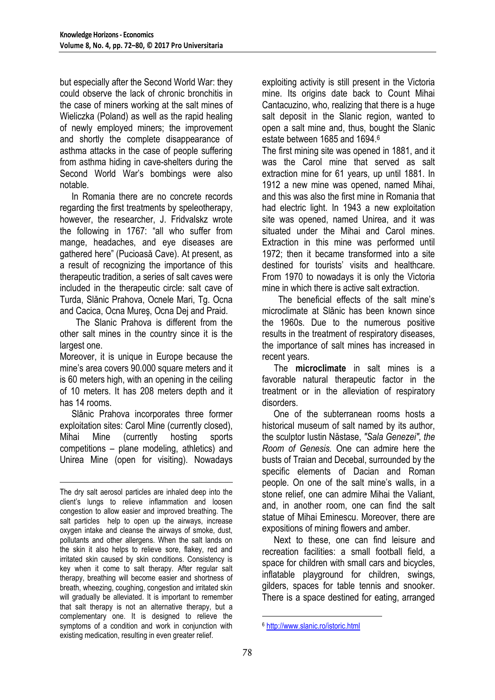but especially after the Second World War: they could observe the lack of chronic bronchitis in the case of miners working at the salt mines of Wieliczka (Poland) as well as the rapid healing of newly employed miners; the improvement and shortly the complete disappearance of asthma attacks in the case of people suffering from asthma hiding in cave-shelters during the Second World War's bombings were also notable.

In Romania there are no concrete records regarding the first treatments by speleotherapy, however, the researcher, J. Fridvalskz wrote the following in 1767: "all who suffer from mange, headaches, and eye diseases are gathered here" (Pucioasă Cave). At present, as a result of recognizing the importance of this therapeutic tradition, a series of salt caves were included in the therapeutic circle: salt cave of Turda, Slănic Prahova, Ocnele Mari, Tg. Ocna and Cacica, Ocna Mureş, Ocna Dej and Praid.

 The Slanic Prahova is different from the other salt mines in the country since it is the largest one.

Moreover, it is unique in Europe because the mine's area covers 90.000 square meters and it is 60 meters high, with an opening in the ceiling of 10 meters. It has 208 meters depth and it has 14 rooms.

Slănic Prahova incorporates three former exploitation sites: Carol Mine (currently closed), Mihai Mine (currently hosting sports competitions – plane modeling, athletics) and Unirea Mine (open for visiting). Nowadays

<u>.</u>

exploiting activity is still present in the Victoria mine. Its origins date back to Count Mihai Cantacuzino, who, realizing that there is a huge salt deposit in the Slanic region, wanted to open a salt mine and, thus, bought the Slanic estate between 1685 and 1694.<sup>6</sup>

The first mining site was opened in 1881, and it was the Carol mine that served as salt extraction mine for 61 years, up until 1881. In 1912 a new mine was opened, named Mihai, and this was also the first mine in Romania that had electric light. In 1943 a new exploitation site was opened, named Unirea, and it was situated under the Mihai and Carol mines. Extraction in this mine was performed until 1972; then it became transformed into a site destined for tourists' visits and healthcare. From 1970 to nowadays it is only the Victoria mine in which there is active salt extraction.

 The beneficial effects of the salt mine's microclimate at Slănic has been known since the 1960s. Due to the numerous positive results in the treatment of respiratory diseases, the importance of salt mines has increased in recent years.

The **microclimate** in salt mines is a favorable natural therapeutic factor in the treatment or in the alleviation of respiratory disorders.

 One of the subterranean rooms hosts a historical museum of salt named by its author, the sculptor Iustin Năstase, *"Sala Genezei", the Room of Genesis.* One can admire here the busts of Traian and Decebal, surrounded by the specific elements of Dacian and Roman people. On one of the salt mine's walls, in a stone relief, one can admire Mihai the Valiant, and, in another room, one can find the salt statue of Mihai Eminescu. Moreover, there are expositions of mining flowers and amber.

Next to these, one can find leisure and recreation facilities: a small football field, a space for children with small cars and bicycles, inflatable playground for children, swings, gilders, spaces for table tennis and snooker. There is a space destined for eating, arranged

1

The dry salt aerosol particles are inhaled deep into the client's lungs to relieve inflammation and loosen congestion to allow easier and improved breathing. The salt particles help to open up the airways, increase oxygen intake and cleanse the airways of smoke, dust, pollutants and other allergens. When the salt lands on the skin it also helps to relieve sore, flakey, red and irritated skin caused by skin conditions. Consistency is key when it come to salt therapy. After regular salt therapy, breathing will become easier and shortness of breath, wheezing, coughing, congestion and irritated skin will gradually be alleviated. It is important to remember that salt therapy is not an alternative therapy, but a complementary one. It is designed to relieve the symptoms of a condition and work in conjunction with existing medication, resulting in even greater relief.

<sup>6</sup> <http://www.slanic.ro/istoric.html>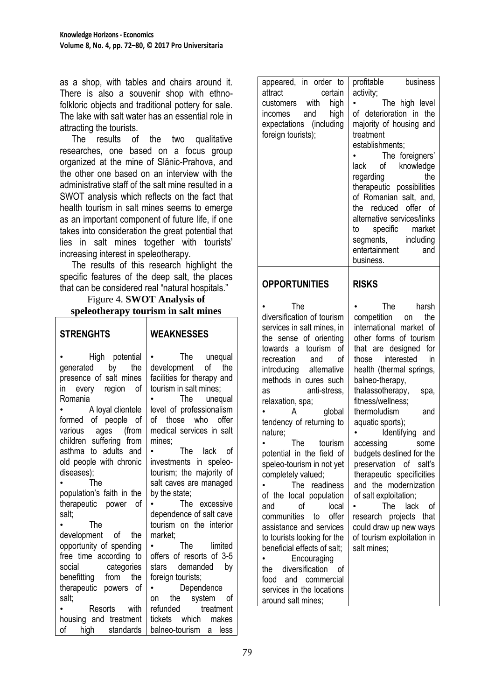as a shop, with tables and chairs around it. There is also a souvenir shop with ethnofolkloric objects and traditional pottery for sale. The lake with salt water has an essential role in attracting the tourists.

The results of the two qualitative researches, one based on a focus group organized at the mine of Slănic-Prahova, and the other one based on an interview with the administrative staff of the salt mine resulted in a SWOT analysis which reflects on the fact that health tourism in salt mines seems to emerge as an important component of future life, if one takes into consideration the great potential that lies in salt mines together with tourists' increasing interest in speleotherapy.

The results of this research highlight the specific features of the deep salt, the places that can be considered real "natural hospitals."

#### Figure 4. **SWOT Analysis of speleotherapy tourism in salt mines**

| <b>STRENGHTS</b>                                                                                                                                                                                                                                                                                                                                                             | <b>WEAKNESSES</b>                                                                                                                                                                                                                                                                                                                                                                                             |
|------------------------------------------------------------------------------------------------------------------------------------------------------------------------------------------------------------------------------------------------------------------------------------------------------------------------------------------------------------------------------|---------------------------------------------------------------------------------------------------------------------------------------------------------------------------------------------------------------------------------------------------------------------------------------------------------------------------------------------------------------------------------------------------------------|
| High potential<br>generated<br>by<br>the<br>presence of salt mines<br>in every region<br>of<br>Romania<br>A loyal clientele<br>formed of people of<br>various<br>ages (from<br>children suffering from<br>asthma to adults and<br>old people with chronic<br>diseases);<br>The<br>population's faith in the<br>therapeutic power<br>οf<br>salt;<br>The<br>development of the | The unequal<br>development<br>of<br>the<br>facilities for therapy and<br>tourism in salt mines;<br>The unequal<br>level of professionalism<br>of those who offer<br>medical services in salt<br>mines;<br>The lack<br>- of<br>investments in speleo-<br>tourism; the majority of<br>salt caves are managed<br>by the state;<br>The excessive<br>dependence of salt cave<br>tourism on the interior<br>market: |
| opportunity of spending<br>free time according to                                                                                                                                                                                                                                                                                                                            | <b>The</b><br>limited<br>offers of resorts of 3-5                                                                                                                                                                                                                                                                                                                                                             |
| categories<br>social<br>benefitting from the                                                                                                                                                                                                                                                                                                                                 | stars demanded<br>by<br>foreign tourists;                                                                                                                                                                                                                                                                                                                                                                     |
| therapeutic powers of                                                                                                                                                                                                                                                                                                                                                        | Dependence                                                                                                                                                                                                                                                                                                                                                                                                    |
| salt;                                                                                                                                                                                                                                                                                                                                                                        | the system<br>on<br>0t                                                                                                                                                                                                                                                                                                                                                                                        |
| Resorts with                                                                                                                                                                                                                                                                                                                                                                 | refunded<br>treatment                                                                                                                                                                                                                                                                                                                                                                                         |
| housing and treatment                                                                                                                                                                                                                                                                                                                                                        | tickets which makes                                                                                                                                                                                                                                                                                                                                                                                           |
| of high standards                                                                                                                                                                                                                                                                                                                                                            | balneo-tourism a less                                                                                                                                                                                                                                                                                                                                                                                         |

| appeared, in order to<br>attract<br>certain<br>customers with<br>high<br>and<br>high<br>incomes<br>expectations (including<br>foreign tourists);                                                                                                                                                                                                                                                                                                                                                                                                                                                                                                                                                                           | profitable<br>business<br>activity;<br>The high level<br>of deterioration in the<br>majority of housing and<br>treatment<br>establishments;<br>The foreigners'<br>knowledge<br>lack of<br>the<br>regarding<br>therapeutic possibilities<br>of Romanian salt, and,<br>the reduced offer of<br>alternative services/links<br>specific market<br>to<br>including<br>segments,<br>entertainment<br>and<br>business.                                                                                                                                                                                   |
|----------------------------------------------------------------------------------------------------------------------------------------------------------------------------------------------------------------------------------------------------------------------------------------------------------------------------------------------------------------------------------------------------------------------------------------------------------------------------------------------------------------------------------------------------------------------------------------------------------------------------------------------------------------------------------------------------------------------------|---------------------------------------------------------------------------------------------------------------------------------------------------------------------------------------------------------------------------------------------------------------------------------------------------------------------------------------------------------------------------------------------------------------------------------------------------------------------------------------------------------------------------------------------------------------------------------------------------|
| <b>OPPORTUNITIES</b>                                                                                                                                                                                                                                                                                                                                                                                                                                                                                                                                                                                                                                                                                                       | <b>RISKS</b>                                                                                                                                                                                                                                                                                                                                                                                                                                                                                                                                                                                      |
| The<br>diversification of tourism<br>services in salt mines, in<br>the sense of orienting<br>towards a tourism of<br>recreation<br>of<br>and<br>introducing alternative<br>methods in cures such<br>anti-stress,<br>as<br>relaxation, spa;<br>global<br>А<br>tendency of returning to<br>nature;<br>The tourism<br>potential in the field of<br>speleo-tourism in not yet<br>completely valued;<br>The<br>readiness<br>of the local population<br>local<br>of<br>and<br>communities<br>offer<br>to<br>assistance and services<br>to tourists looking for the<br>beneficial effects of salt;<br>Encouraging<br>diversification<br>the<br>οt<br>food<br>and<br>commercial<br>services in the locations<br>around salt mines; | The<br>harsh<br>competition<br>the<br>on<br>international market of<br>other forms of tourism<br>that are designed for<br>those interested<br>in<br>health (thermal springs,<br>balneo-therapy,<br>thalassotherapy,<br>spa,<br>fitness/wellness;<br>thermoludism<br>and<br>aquatic sports);<br>Identifying and<br>accessing<br>some<br>budgets destined for the<br>preservation of salt's<br>therapeutic specificities<br>and the modernization<br>of salt exploitation;<br>The<br>lack<br>οf<br>research projects<br>that<br>could draw up new ways<br>of tourism exploitation in<br>salt mines; |

٦